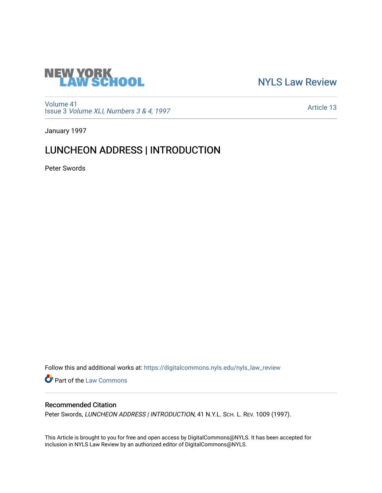

[NYLS Law Review](https://digitalcommons.nyls.edu/nyls_law_review) 

[Volume 41](https://digitalcommons.nyls.edu/nyls_law_review/vol41) Issue 3 [Volume XLI, Numbers 3 & 4, 1997](https://digitalcommons.nyls.edu/nyls_law_review/vol41/iss3)

[Article 13](https://digitalcommons.nyls.edu/nyls_law_review/vol41/iss3/13) 

January 1997

# LUNCHEON ADDRESS | INTRODUCTION

Peter Swords

Follow this and additional works at: [https://digitalcommons.nyls.edu/nyls\\_law\\_review](https://digitalcommons.nyls.edu/nyls_law_review?utm_source=digitalcommons.nyls.edu%2Fnyls_law_review%2Fvol41%2Fiss3%2F13&utm_medium=PDF&utm_campaign=PDFCoverPages) 

Part of the [Law Commons](https://network.bepress.com/hgg/discipline/578?utm_source=digitalcommons.nyls.edu%2Fnyls_law_review%2Fvol41%2Fiss3%2F13&utm_medium=PDF&utm_campaign=PDFCoverPages)

## Recommended Citation

Peter Swords, LUNCHEON ADDRESS | INTRODUCTION, 41 N.Y.L. SCH. L. REV. 1009 (1997).

This Article is brought to you for free and open access by DigitalCommons@NYLS. It has been accepted for inclusion in NYLS Law Review by an authorized editor of DigitalCommons@NYLS.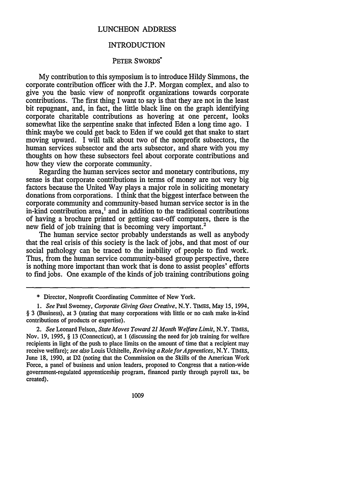### LUNCHEON ADDRESS

### INTRODUCTION

#### PETER SWORDS<sup>\*</sup>

**My** contribution to this symposium is to introduce Hildy Simmons, the corporate contribution officer with the **J.P.** Morgan complex, and also to give you the basic view of nonprofit organizations towards corporate contributions. The first thing I want to say is that they are not in the least bit repugnant, and, in fact, the little black line on the graph identifying corporate charitable contributions as hovering at one percent, looks somewhat like the serpentine snake that infected Eden a long time ago. I think maybe we could get back to Eden if we could get that snake to start moving upward. I will talk about two of the nonprofit subsectors, the human services subsector and the arts subsector, and share with you my thoughts on how these subsectors feel about corporate contributions and how they view the corporate community.

Regarding the human services sector and monetary contributions, my sense is that corporate contributions in terms of money are not very big factors because the United Way plays a major role in soliciting monetary donations from corporations. I think that the biggest interface between the corporate community and community-based human service sector is in the in-kind contribution area,' and in addition to the traditional contributions of having a brochure printed or getting cast-off computers, there is the new field of job training that is becoming very important.<sup>2</sup>

The human service sector probably understands as well as anybody that the real crisis of this society is the lack of jobs, and that most of our social pathology can be traced to the inability of people to find work. Thus, from the human service community-based group perspective, there is nothing more important than work that is done to assist peoples' efforts to find jobs. One example of the kinds of job training contributions going

*2. See* Leonard Felson, *State Moves Toward 21 Month Welfare Limit,* N.Y. TIMES, Nov. 19, 1995, § 13 (Connecticut), at 1 (discussing the need for job training for welfare recipients in light of the push to place limits on the amount of time that a recipient may receive welfare); *see also* Louis Uchitelle, *Reviving a RoleforApprentices,* N.Y. TIMES, June 18, 1990, at **D2** (noting that the Commission on the Skills of the American Work Force, a panel of business and union leaders, proposed to Congress that a nation-wide government-regulated apprenticeship program, financed partly through payroll tax, be created).

1009

<sup>\*</sup> Director, Nonprofit Coordinating Committee of New York.

*<sup>1.</sup> See* Paul Sweeney, *Corporate Giving Goes Creative,* N.Y. TIMES, May 15, 1994, § 3 (Business), at 3 (stating that many corporations with little or no cash make in-kind contributions of products or expertise).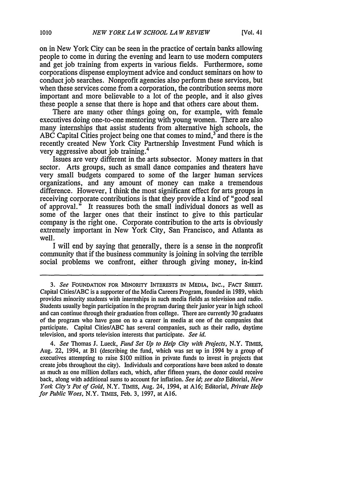on in New York City can be seen in the practice of certain banks allowing people to come in during the evening and learn to use modern computers and get job training from experts in various fields. Furthermore, some corporations dispense employment advice and conduct seminars on how to conduct job searches. Nonprofit agencies also perform these services, but when these services come from a corporation, the contribution seems more important and more believable to a lot of the people, and it also gives these people a sense that there is hope and that others care about them.

There are many other things going on, for example, with female executives doing one-to-one mentoring with young women. There are also many internships that assist students from alternative high schools, the ABC Capital Cities project being one that comes to mind, $3\overline{ }$  and there is the recently created New York City Partnership Investment Fund which is very aggressive about job training.<sup>4</sup>

Issues are very different in the arts subsector. Money matters in that sector. Arts groups, such as small dance companies and theaters have very small budgets compared to some of the larger human services organizations, and any amount of money can make a tremendous difference. However, I think the most significant effect for arts groups in receiving corporate contributions is that they provide a kind of "good seal of approval." It reassures both the small individual donors as well as some of the larger ones that their instinct to give to this particular company is the right one. Corporate contribution to the arts is obviously extremely important in New York City, San Francisco, and Atlanta as well.

I will end by saying that generally, there is a sense in the nonprofit community that if the business community is joining in solving the terrible social problems we confront, either through giving money, in-kind

*4. See* Thomas **J.** Lueck, *Fund Set Up to Help City with Projects,* N.Y. TIMES, Aug. 22, 1994, at BI (describing the fund, which was set up in 1994 by a group of executives attempting to raise \$100 million in private funds to invest in projects that create jobs throughout the city). Individuals and corporations have been asked to donate as much as one million dollars each, which, after fifteen years, the donor could receive back, along with additional sums to account for inflation. *See* id, see also Editorial, *New York City's Pot of Gold,* N.Y. TIMES, Aug. 24, 1994, at A16; Editorial, *Private Help for Public Woes,* N.Y. TIMES, Feb. 3, 1997, at A16.

*<sup>3.</sup> See* FOUNDATION **FOR** MINORITY INTERESTS IN MEDIA, INC., FACT **SHEET.** Capital Cities/ABC is a supporter of the Media Careers Program, founded in 1989, which provides minority students with internships in such media fields as television and radio. Students usually begin participation in the program during their junior year in high school and can continue through their graduation from college. There are currently 30 graduates of the program who have gone on to a career in media at one of the companies that participate. Capital Cities/ABC has several companies, such as their radio, daytime television, and sports television interests that participate. *See id.*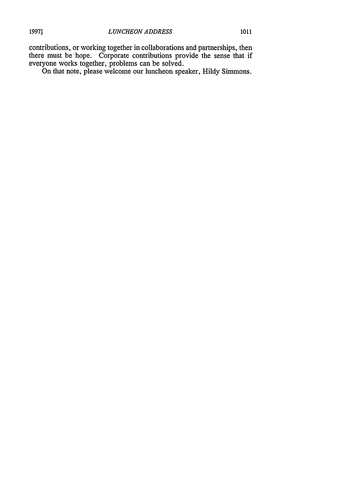contributions, or working together in collaborations and partnerships, then there must be hope. Corporate contributions provide the sense that if everyone works together, problems can be solved.

On that note, please welcome our luncheon speaker, Hildy Simmons.